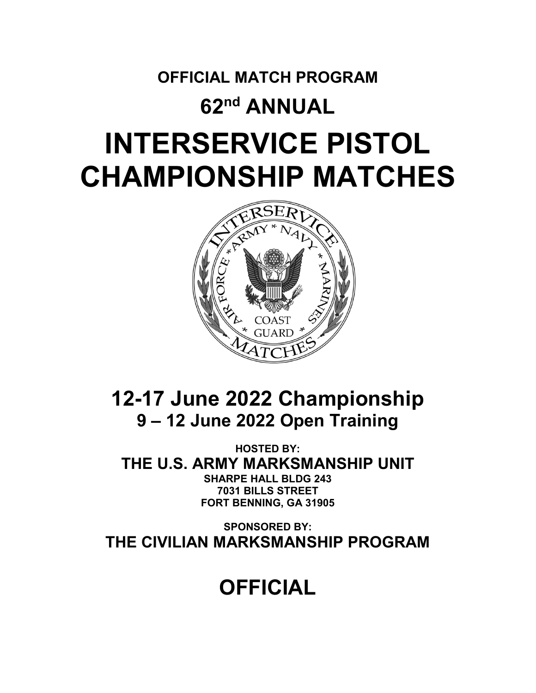# **OFFICIAL MATCH PROGRAM 62nd ANNUAL INTERSERVICE PISTOL CHAMPIONSHIP MATCHES**



# **12-17 June 2022 Championship 9 – 12 June 2022 Open Training**

**HOSTED BY: THE U.S. ARMY MARKSMANSHIP UNIT SHARPE HALL BLDG 243 7031 BILLS STREET FORT BENNING, GA 31905**

**SPONSORED BY: THE CIVILIAN MARKSMANSHIP PROGRAM**

# **OFFICIAL**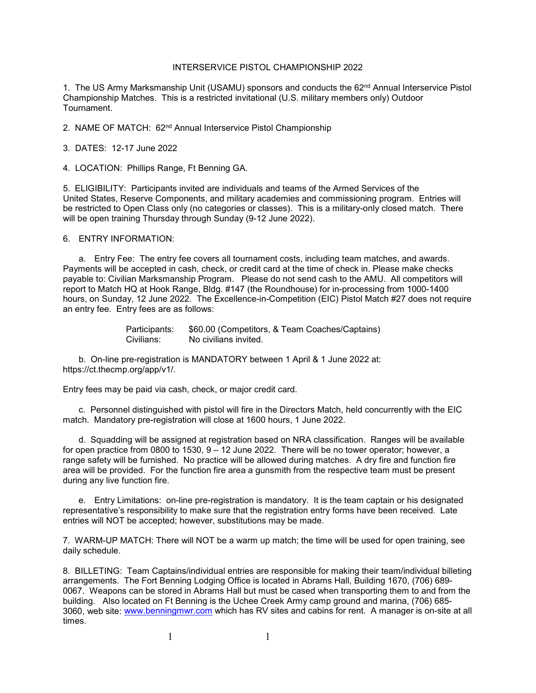#### INTERSERVICE PISTOL CHAMPIONSHIP 2022

1. The US Army Marksmanship Unit (USAMU) sponsors and conducts the 62<sup>nd</sup> Annual Interservice Pistol Championship Matches. This is a restricted invitational (U.S. military members only) Outdoor Tournament.

2. NAME OF MATCH: 62<sup>nd</sup> Annual Interservice Pistol Championship

3. DATES: 12-17 June 2022

4. LOCATION: Phillips Range, Ft Benning GA.

5. ELIGIBILITY: Participants invited are individuals and teams of the Armed Services of the United States, Reserve Components, and military academies and commissioning program. Entries will be restricted to Open Class only (no categories or classes). This is a military-only closed match. There will be open training Thursday through Sunday (9-12 June 2022).

6. ENTRY INFORMATION:

a. Entry Fee: The entry fee covers all tournament costs, including team matches, and awards. Payments will be accepted in cash, check, or credit card at the time of check in. Please make checks payable to: Civilian Marksmanship Program. Please do not send cash to the AMU. All competitors will report to Match HQ at Hook Range, Bldg. #147 (the Roundhouse) for in-processing from 1000-1400 hours, on Sunday, 12 June 2022. The Excellence-in-Competition (EIC) Pistol Match #27 does not require an entry fee. Entry fees are as follows:

> Participants: \$60.00 (Competitors, & Team Coaches/Captains) Civilians: No civilians invited.

 b. On-line pre-registration is MANDATORY between 1 April & 1 June 2022 at: https://ct.thecmp.org/app/v1/.

Entry fees may be paid via cash, check, or major credit card.

c. Personnel distinguished with pistol will fire in the Directors Match, held concurrently with the EIC match. Mandatory pre-registration will close at 1600 hours, 1 June 2022.

d. Squadding will be assigned at registration based on NRA classification. Ranges will be available for open practice from 0800 to 1530, 9 – 12 June 2022. There will be no tower operator; however, a range safety will be furnished. No practice will be allowed during matches. A dry fire and function fire area will be provided. For the function fire area a gunsmith from the respective team must be present during any live function fire.

e. Entry Limitations: on-line pre-registration is mandatory. It is the team captain or his designated representative's responsibility to make sure that the registration entry forms have been received. Late entries will NOT be accepted; however, substitutions may be made.

7. WARM-UP MATCH: There will NOT be a warm up match; the time will be used for open training, see daily schedule.

8. BILLETING: Team Captains/individual entries are responsible for making their team/individual billeting arrangements. The Fort Benning Lodging Office is located in Abrams Hall, Building 1670, (706) 689- 0067. Weapons can be stored in Abrams Hall but must be cased when transporting them to and from the building. Also located on Ft Benning is the Uchee Creek Army camp ground and marina, (706) 685 3060, web site: [www.benningmwr.com](http://www.benningmwr.com/) which has RV sites and cabins for rent. A manager is on-site at all times.

1 1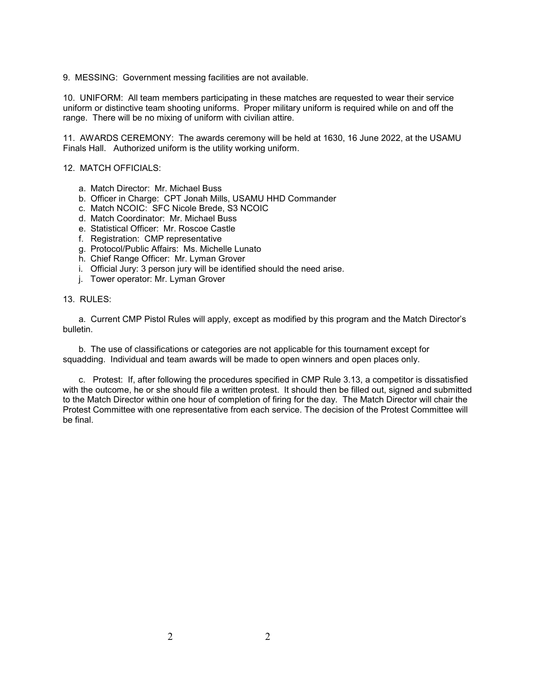9. MESSING: Government messing facilities are not available.

10. UNIFORM: All team members participating in these matches are requested to wear their service uniform or distinctive team shooting uniforms. Proper military uniform is required while on and off the range. There will be no mixing of uniform with civilian attire.

11. AWARDS CEREMONY: The awards ceremony will be held at 1630, 16 June 2022, at the USAMU Finals Hall. Authorized uniform is the utility working uniform.

#### 12. MATCH OFFICIALS:

- a. Match Director: Mr. Michael Buss
- b. Officer in Charge: CPT Jonah Mills, USAMU HHD Commander
- c. Match NCOIC: SFC Nicole Brede, S3 NCOIC
- d. Match Coordinator: Mr. Michael Buss
- e. Statistical Officer: Mr. Roscoe Castle
- f. Registration: CMP representative
- g. Protocol/Public Affairs: Ms. Michelle Lunato
- h. Chief Range Officer: Mr. Lyman Grover
- i. Official Jury: 3 person jury will be identified should the need arise.
- j. Tower operator: Mr. Lyman Grover

#### 13. RULES:

a. Current CMP Pistol Rules will apply, except as modified by this program and the Match Director's bulletin.

b. The use of classifications or categories are not applicable for this tournament except for squadding. Individual and team awards will be made to open winners and open places only.

c. Protest: If, after following the procedures specified in CMP Rule 3.13, a competitor is dissatisfied with the outcome, he or she should file a written protest. It should then be filled out, signed and submitted to the Match Director within one hour of completion of firing for the day. The Match Director will chair the Protest Committee with one representative from each service. The decision of the Protest Committee will be final.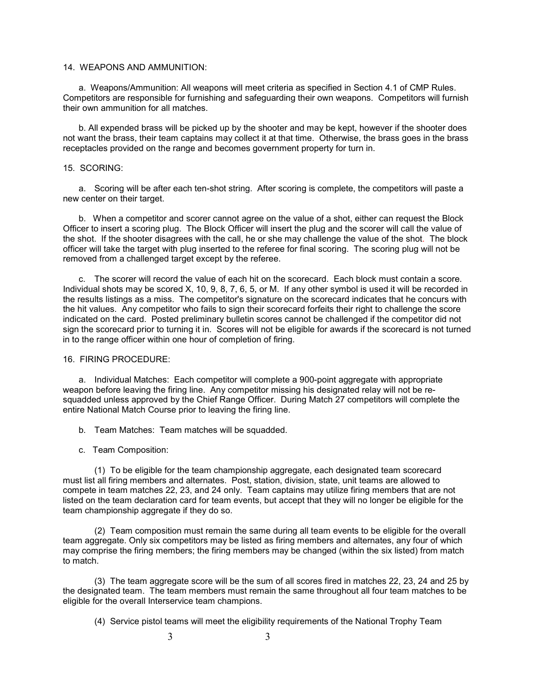#### 14. WEAPONS AND AMMUNITION:

a. Weapons/Ammunition: All weapons will meet criteria as specified in Section 4.1 of CMP Rules. Competitors are responsible for furnishing and safeguarding their own weapons. Competitors will furnish their own ammunition for all matches.

 b. All expended brass will be picked up by the shooter and may be kept, however if the shooter does not want the brass, their team captains may collect it at that time. Otherwise, the brass goes in the brass receptacles provided on the range and becomes government property for turn in.

#### 15. SCORING:

a. Scoring will be after each ten-shot string. After scoring is complete, the competitors will paste a new center on their target.

b. When a competitor and scorer cannot agree on the value of a shot, either can request the Block Officer to insert a scoring plug. The Block Officer will insert the plug and the scorer will call the value of the shot. If the shooter disagrees with the call, he or she may challenge the value of the shot. The block officer will take the target with plug inserted to the referee for final scoring. The scoring plug will not be removed from a challenged target except by the referee.

c. The scorer will record the value of each hit on the scorecard. Each block must contain a score. Individual shots may be scored X, 10, 9, 8, 7, 6, 5, or M. If any other symbol is used it will be recorded in the results listings as a miss. The competitor's signature on the scorecard indicates that he concurs with the hit values. Any competitor who fails to sign their scorecard forfeits their right to challenge the score indicated on the card. Posted preliminary bulletin scores cannot be challenged if the competitor did not sign the scorecard prior to turning it in. Scores will not be eligible for awards if the scorecard is not turned in to the range officer within one hour of completion of firing.

#### 16. FIRING PROCEDURE:

a. Individual Matches: Each competitor will complete a 900-point aggregate with appropriate weapon before leaving the firing line. Any competitor missing his designated relay will not be resquadded unless approved by the Chief Range Officer. During Match 27 competitors will complete the entire National Match Course prior to leaving the firing line.

- b. Team Matches: Team matches will be squadded.
- c. Team Composition:

(1) To be eligible for the team championship aggregate, each designated team scorecard must list all firing members and alternates. Post, station, division, state, unit teams are allowed to compete in team matches 22, 23, and 24 only. Team captains may utilize firing members that are not listed on the team declaration card for team events, but accept that they will no longer be eligible for the team championship aggregate if they do so.

(2) Team composition must remain the same during all team events to be eligible for the overall team aggregate. Only six competitors may be listed as firing members and alternates, any four of which may comprise the firing members; the firing members may be changed (within the six listed) from match to match.

(3) The team aggregate score will be the sum of all scores fired in matches 22, 23, 24 and 25 by the designated team. The team members must remain the same throughout all four team matches to be eligible for the overall Interservice team champions.

(4) Service pistol teams will meet the eligibility requirements of the National Trophy Team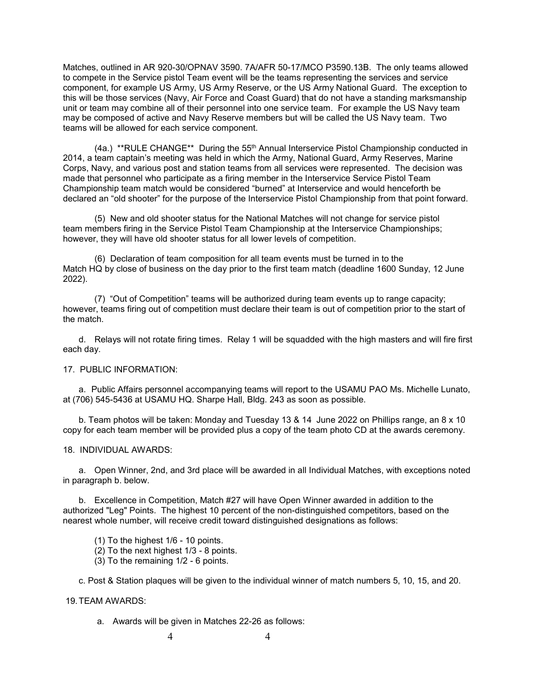Matches, outlined in AR 920-30/OPNAV 3590. 7A/AFR 50-17/MCO P3590.13B. The only teams allowed to compete in the Service pistol Team event will be the teams representing the services and service component, for example US Army, US Army Reserve, or the US Army National Guard. The exception to this will be those services (Navy, Air Force and Coast Guard) that do not have a standing marksmanship unit or team may combine all of their personnel into one service team. For example the US Navy team may be composed of active and Navy Reserve members but will be called the US Navy team. Two teams will be allowed for each service component.

(4a.) \*\*RULE CHANGE\*\* During the 55th Annual Interservice Pistol Championship conducted in 2014, a team captain's meeting was held in which the Army, National Guard, Army Reserves, Marine Corps, Navy, and various post and station teams from all services were represented. The decision was made that personnel who participate as a firing member in the Interservice Service Pistol Team Championship team match would be considered "burned" at Interservice and would henceforth be declared an "old shooter" for the purpose of the Interservice Pistol Championship from that point forward.

(5) New and old shooter status for the National Matches will not change for service pistol team members firing in the Service Pistol Team Championship at the Interservice Championships; however, they will have old shooter status for all lower levels of competition.

(6) Declaration of team composition for all team events must be turned in to the Match HQ by close of business on the day prior to the first team match (deadline 1600 Sunday, 12 June 2022).

(7) "Out of Competition" teams will be authorized during team events up to range capacity; however, teams firing out of competition must declare their team is out of competition prior to the start of the match.

d. Relays will not rotate firing times. Relay 1 will be squadded with the high masters and will fire first each day.

#### 17. PUBLIC INFORMATION:

a. Public Affairs personnel accompanying teams will report to the USAMU PAO Ms. Michelle Lunato, at (706) 545-5436 at USAMU HQ. Sharpe Hall, Bldg. 243 as soon as possible.

b. Team photos will be taken: Monday and Tuesday 13 & 14 June 2022 on Phillips range, an 8 x 10 copy for each team member will be provided plus a copy of the team photo CD at the awards ceremony.

#### 18. INDIVIDUAL AWARDS:

a. Open Winner, 2nd, and 3rd place will be awarded in all Individual Matches, with exceptions noted in paragraph b. below.

b. Excellence in Competition, Match #27 will have Open Winner awarded in addition to the authorized "Leg" Points. The highest 10 percent of the non-distinguished competitors, based on the nearest whole number, will receive credit toward distinguished designations as follows:

(1) To the highest 1/6 - 10 points.

- (2) To the next highest 1/3 8 points.
- (3) To the remaining 1/2 6 points.

c. Post & Station plaques will be given to the individual winner of match numbers 5, 10, 15, and 20.

#### 19.TEAM AWARDS:

a. Awards will be given in Matches 22-26 as follows: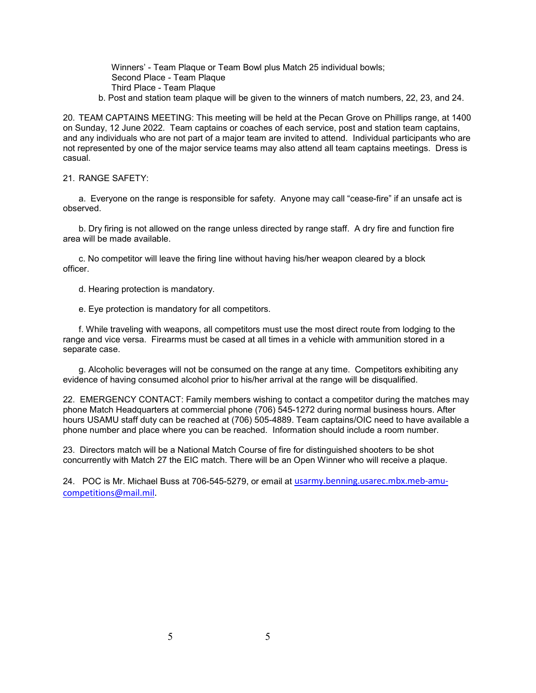Winners' - Team Plaque or Team Bowl plus Match 25 individual bowls; Second Place - Team Plaque Third Place - Team Plaque

b. Post and station team plaque will be given to the winners of match numbers, 22, 23, and 24.

20. TEAM CAPTAINS MEETING: This meeting will be held at the Pecan Grove on Phillips range, at 1400 on Sunday, 12 June 2022. Team captains or coaches of each service, post and station team captains, and any individuals who are not part of a major team are invited to attend. Individual participants who are not represented by one of the major service teams may also attend all team captains meetings. Dress is casual.

#### 21. RANGE SAFETY:

a. Everyone on the range is responsible for safety. Anyone may call "cease-fire" if an unsafe act is observed.

b. Dry firing is not allowed on the range unless directed by range staff. A dry fire and function fire area will be made available.

c. No competitor will leave the firing line without having his/her weapon cleared by a block officer.

d. Hearing protection is mandatory.

e. Eye protection is mandatory for all competitors.

f. While traveling with weapons, all competitors must use the most direct route from lodging to the range and vice versa. Firearms must be cased at all times in a vehicle with ammunition stored in a separate case.

g. Alcoholic beverages will not be consumed on the range at any time. Competitors exhibiting any evidence of having consumed alcohol prior to his/her arrival at the range will be disqualified.

22. EMERGENCY CONTACT: Family members wishing to contact a competitor during the matches may phone Match Headquarters at commercial phone (706) 545-1272 during normal business hours. After hours USAMU staff duty can be reached at (706) 505-4889. Team captains/OIC need to have available a phone number and place where you can be reached. Information should include a room number.

23. Directors match will be a National Match Course of fire for distinguished shooters to be shot concurrently with Match 27 the EIC match. There will be an Open Winner who will receive a plaque.

24. POC is Mr. Michael Buss at 706-545-5279, or email at *[usarmy.benning.usarec.mbx.meb-amu](mailto:usarmy.benning.usarec.mbx.meb-amu-competitions@mail.mil)*[competitions@mail.mil.](mailto:usarmy.benning.usarec.mbx.meb-amu-competitions@mail.mil)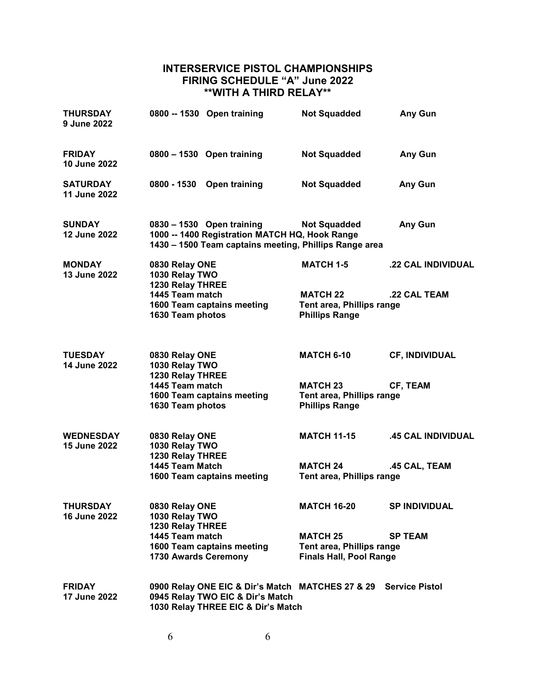# **INTERSERVICE PISTOL CHAMPIONSHIPS FIRING SCHEDULE "A" June 2022 \*\*WITH A THIRD RELAY\*\***

| <b>THURSDAY</b><br>9 June 2022       |                                                      | 0800 -- 1530 Open training                                                                                                            | <b>Not Squadded</b>                                                            | Any Gun               |
|--------------------------------------|------------------------------------------------------|---------------------------------------------------------------------------------------------------------------------------------------|--------------------------------------------------------------------------------|-----------------------|
| <b>FRIDAY</b><br>10 June 2022        |                                                      | 0800 - 1530 Open training                                                                                                             | <b>Not Squadded</b>                                                            | <b>Any Gun</b>        |
| <b>SATURDAY</b><br>11 June 2022      | 0800 - 1530                                          | Open training                                                                                                                         | <b>Not Squadded</b>                                                            | Any Gun               |
| <b>SUNDAY</b><br>12 June 2022        |                                                      | 0830 - 1530 Open training<br>1000 -- 1400 Registration MATCH HQ, Hook Range<br>1430 - 1500 Team captains meeting, Phillips Range area | <b>Not Squadded</b>                                                            | Any Gun               |
| <b>MONDAY</b><br>13 June 2022        | 0830 Relay ONE<br>1030 Relay TWO<br>1230 Relay THREE |                                                                                                                                       | <b>MATCH 1-5</b>                                                               | .22 CAL INDIVIDUAL    |
|                                      | 1445 Team match<br>1630 Team photos                  | 1600 Team captains meeting                                                                                                            | <b>MATCH 22</b><br>Tent area, Phillips range<br><b>Phillips Range</b>          | .22 CAL TEAM          |
| <b>TUESDAY</b><br>14 June 2022       | 0830 Relay ONE<br>1030 Relay TWO<br>1230 Relay THREE |                                                                                                                                       | <b>MATCH 6-10</b>                                                              | <b>CF, INDIVIDUAL</b> |
|                                      | 1445 Team match<br>1630 Team photos                  | 1600 Team captains meeting                                                                                                            | <b>MATCH 23</b><br>Tent area, Phillips range<br><b>Phillips Range</b>          | CF, TEAM              |
| <b>WEDNESDAY</b><br>15 June 2022     | 0830 Relay ONE<br>1030 Relay TWO<br>1230 Relay THREE |                                                                                                                                       | <b>MATCH 11-15</b>                                                             | .45 CAL INDIVIDUAL    |
|                                      | 1445 Team Match                                      | 1600 Team captains meeting                                                                                                            | <b>MATCH 24</b><br>Tent area, Phillips range                                   | .45 CAL, TEAM         |
| <b>THURSDAY</b><br>16 June 2022      | 0830 Relay ONE<br>1030 Relay TWO<br>1230 Relay THREE |                                                                                                                                       | <b>MATCH 16-20</b>                                                             | <b>SP INDIVIDUAL</b>  |
|                                      | 1445 Team match<br>1730 Awards Ceremony              | 1600 Team captains meeting                                                                                                            | <b>MATCH 25</b><br>Tent area, Phillips range<br><b>Finals Hall, Pool Range</b> | <b>SP TEAM</b>        |
| <b>FRIDAY</b><br><b>17 June 2022</b> |                                                      | 0900 Relay ONE EIC & Dir's Match MATCHES 27 & 29<br>0945 Relay TWO EIC & Dir's Match<br>1030 Relay THREE EIC & Dir's Match            |                                                                                | <b>Service Pistol</b> |

6 6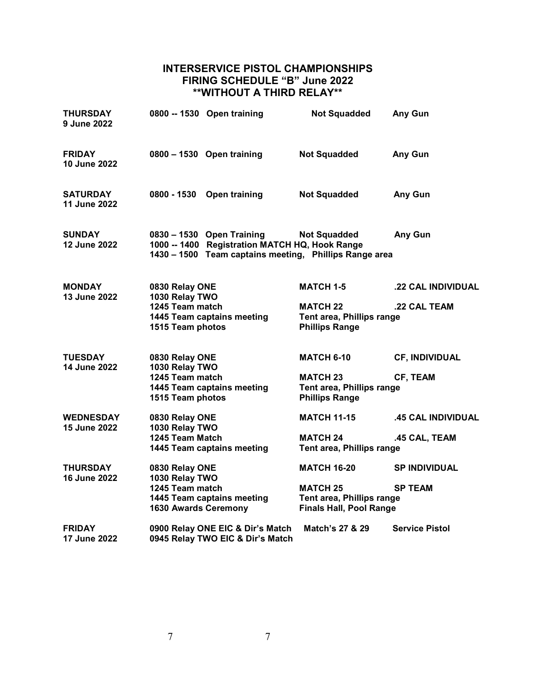# **INTERSERVICE PISTOL CHAMPIONSHIPS FIRING SCHEDULE "B" June 2022 \*\*WITHOUT A THIRD RELAY\*\***

| THURSDAY<br>9 June 2022              |                                                                                     | 0800 -- 1530 Open training                                                                                                            | <b>Not Squadded</b>                                                                   | Any Gun                                                                                          |
|--------------------------------------|-------------------------------------------------------------------------------------|---------------------------------------------------------------------------------------------------------------------------------------|---------------------------------------------------------------------------------------|--------------------------------------------------------------------------------------------------|
| <b>FRIDAY</b><br>10 June 2022        |                                                                                     | 0800 - 1530 Open training                                                                                                             | <b>Not Squadded</b>                                                                   | Any Gun                                                                                          |
| <b>SATURDAY</b><br>11 June 2022      | 0800 - 1530                                                                         | Open training                                                                                                                         | <b>Not Squadded</b>                                                                   | Any Gun                                                                                          |
| <b>SUNDAY</b><br><b>12 June 2022</b> |                                                                                     | 0830 - 1530 Open Training<br>1000 -- 1400 Registration MATCH HQ, Hook Range<br>1430 - 1500 Team captains meeting, Phillips Range area | <b>Not Squadded</b>                                                                   | Any Gun                                                                                          |
| <b>MONDAY</b><br>13 June 2022        | 0830 Relay ONE                                                                      |                                                                                                                                       | <b>MATCH 1-5</b>                                                                      | .22 CAL INDIVIDUAL                                                                               |
|                                      | 1030 Relay TWO<br>1245 Team match<br>1445 Team captains meeting<br>1515 Team photos |                                                                                                                                       | <b>MATCH 22</b><br>.22 CAL TEAM<br>Tent area, Phillips range<br><b>Phillips Range</b> |                                                                                                  |
| <b>TUESDAY</b><br>14 June 2022       | 0830 Relay ONE<br>1030 Relay TWO                                                    |                                                                                                                                       | <b>MATCH 6-10</b>                                                                     | <b>CF, INDIVIDUAL</b>                                                                            |
|                                      | 1245 Team match<br>1515 Team photos                                                 | 1445 Team captains meeting                                                                                                            | <b>MATCH 23</b><br>Tent area, Phillips range<br><b>Phillips Range</b>                 | CF, TEAM                                                                                         |
| <b>WEDNESDAY</b><br>15 June 2022     | 0830 Relay ONE<br>1030 Relay TWO                                                    |                                                                                                                                       | <b>MATCH 11-15</b>                                                                    | .45 CAL INDIVIDUAL                                                                               |
|                                      |                                                                                     | 1245 Team Match<br>1445 Team captains meeting                                                                                         |                                                                                       | <b>MATCH 24</b><br>.45 CAL, TEAM<br>Tent area, Phillips range                                    |
| THURSDAY<br><b>16 June 2022</b>      | 0830 Relay ONE<br>1030 Relay TWO                                                    |                                                                                                                                       | <b>MATCH 16-20</b>                                                                    | <b>SP INDIVIDUAL</b>                                                                             |
|                                      |                                                                                     | 1245 Team match<br>1445 Team captains meeting<br><b>1630 Awards Ceremony</b>                                                          |                                                                                       | <b>MATCH 25</b><br><b>SP TEAM</b><br>Tent area, Phillips range<br><b>Finals Hall, Pool Range</b> |
| <b>FRIDAY</b><br>17 June 2022        |                                                                                     | 0900 Relay ONE EIC & Dir's Match<br>0945 Relay TWO EIC & Dir's Match                                                                  | Match's 27 & 29                                                                       | <b>Service Pistol</b>                                                                            |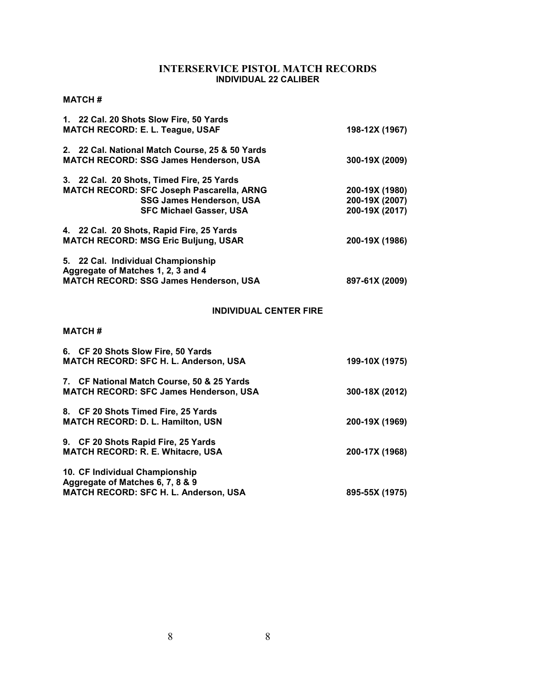# **INTERSERVICE PISTOL MATCH RECORDS INDIVIDUAL 22 CALIBER**

# **MATCH #**

| 1. 22 Cal. 20 Shots Slow Fire, 50 Yards<br><b>MATCH RECORD: E. L. Teague, USAF</b>                                                                          | 198-12X (1967)                                     |
|-------------------------------------------------------------------------------------------------------------------------------------------------------------|----------------------------------------------------|
| 2. 22 Cal. National Match Course, 25 & 50 Yards<br><b>MATCH RECORD: SSG James Henderson, USA</b>                                                            | 300-19X (2009)                                     |
| 3. 22 Cal. 20 Shots, Timed Fire, 25 Yards<br>MATCH RECORD: SFC Joseph Pascarella, ARNG<br><b>SSG James Henderson, USA</b><br><b>SFC Michael Gasser, USA</b> | 200-19X (1980)<br>200-19X (2007)<br>200-19X (2017) |
| 4. 22 Cal. 20 Shots, Rapid Fire, 25 Yards<br><b>MATCH RECORD: MSG Eric Buljung, USAR</b>                                                                    | 200-19X (1986)                                     |
| 5. 22 Cal. Individual Championship<br>Aggregate of Matches 1, 2, 3 and 4<br><b>MATCH RECORD: SSG James Henderson, USA</b>                                   | 897-61X (2009)                                     |
| <b>INDIVIDUAL CENTER FIRE</b>                                                                                                                               |                                                    |
|                                                                                                                                                             |                                                    |
| <b>MATCH#</b>                                                                                                                                               |                                                    |
| 6. CF 20 Shots Slow Fire, 50 Yards<br>MATCH RECORD: SFC H. L. Anderson, USA                                                                                 | 199-10X (1975)                                     |
| 7. CF National Match Course, 50 & 25 Yards<br>MATCH RECORD: SFC James Henderson, USA                                                                        | 300-18X (2012)                                     |
| 8. CF 20 Shots Timed Fire, 25 Yards<br><b>MATCH RECORD: D. L. Hamilton, USN</b>                                                                             | 200-19X (1969)                                     |
| 9. CF 20 Shots Rapid Fire, 25 Yards<br><b>MATCH RECORD: R. E. Whitacre, USA</b>                                                                             | 200-17X (1968)                                     |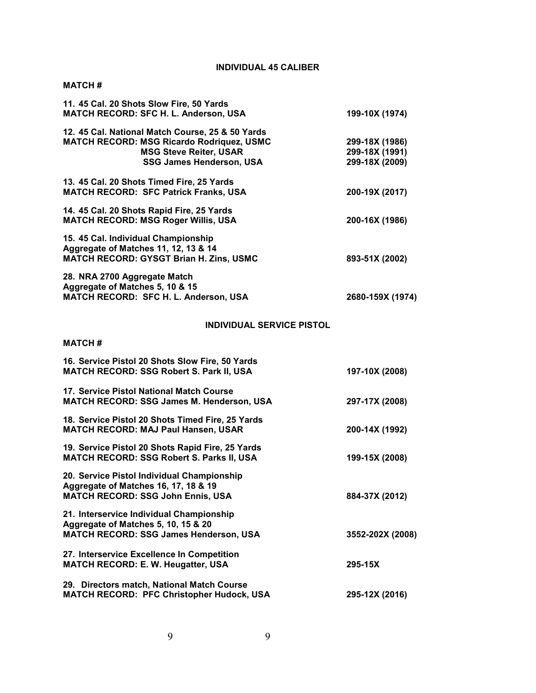# **INDIVIDUAL 45 CALIBER**

### **MATCH #**

| 11. 45 Cal. 20 Shots Slow Fire, 50 Yards<br>MATCH RECORD: SFC H. L. Anderson, USA                                                                                 | 199-10X (1974)                                     |
|-------------------------------------------------------------------------------------------------------------------------------------------------------------------|----------------------------------------------------|
| 12. 45 Cal. National Match Course, 25 & 50 Yards<br><b>MATCH RECORD: MSG Ricardo Rodriquez, USMC</b><br><b>MSG Steve Reiter, USAR</b><br>SSG James Henderson, USA | 299-18X (1986)<br>299-18X (1991)<br>299-18X (2009) |
| 13. 45 Cal. 20 Shots Timed Fire, 25 Yards<br><b>MATCH RECORD: SFC Patrick Franks, USA</b>                                                                         | 200-19X (2017)                                     |
| 14. 45 Cal. 20 Shots Rapid Fire, 25 Yards<br><b>MATCH RECORD: MSG Roger Willis, USA</b>                                                                           | 200-16X (1986)                                     |
| 15. 45 Cal. Individual Championship<br>Aggregate of Matches 11, 12, 13 & 14<br><b>MATCH RECORD: GYSGT Brian H. Zins, USMC</b>                                     | 893-51X (2002)                                     |
| 28. NRA 2700 Aggregate Match<br>Aggregate of Matches 5, 10 & 15<br>MATCH RECORD: SFC H. L. Anderson, USA                                                          | 2680-159X (1974)                                   |
| <b>INDIVIDUAL SERVICE PISTOL</b>                                                                                                                                  |                                                    |
| <b>MATCH#</b>                                                                                                                                                     |                                                    |
| 16. Service Pistol 20 Shots Slow Fire, 50 Yards<br>MATCH RECORD: SSG Robert S. Park II, USA                                                                       | 197-10X (2008)                                     |
| 17. Service Pistol National Match Course<br><b>MATCH RECORD: SSG James M. Henderson, USA</b>                                                                      | 297-17X (2008)                                     |
| 18. Service Pistol 20 Shots Timed Fire, 25 Yards<br><b>MATCH RECORD: MAJ Paul Hansen, USAR</b>                                                                    | 200-14X (1992)                                     |
| 19. Service Pistol 20 Shots Rapid Fire, 25 Yards<br>MATCH RECORD: SSG Robert S. Parks II, USA                                                                     | 199-15X (2008)                                     |
| 20. Service Pistol Individual Championship<br>Aggregate of Matches 16, 17, 18 & 19<br><b>MATCH RECORD: SSG John Ennis, USA</b>                                    | 884-37X (2012)                                     |
| 21. Interservice Individual Championship<br>Aggregate of Matches 5, 10, 15 & 20<br><b>MATCH RECORD: SSG James Henderson, USA</b>                                  | 3552-202X (2008)                                   |
| 27. Interservice Excellence In Competition<br><b>MATCH RECORD: E. W. Heugatter, USA</b>                                                                           | 295-15X                                            |
| 29. Directors match, National Match Course<br>MATCH RECORD: PFC Christopher Hudock, USA                                                                           | 295-12X (2016)                                     |